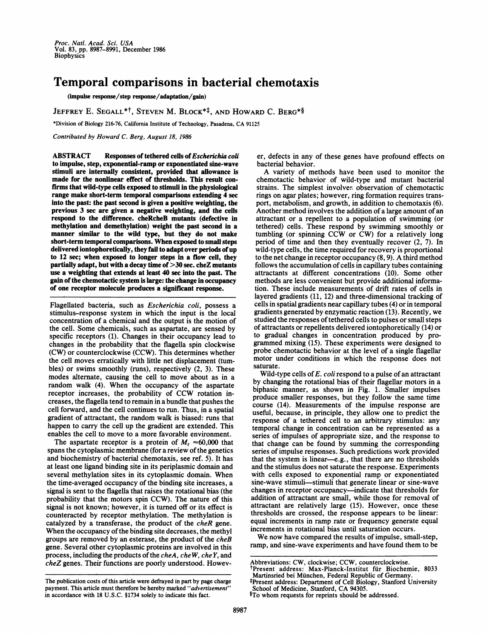Proc. Nati. Acad. Sci. USA Vol. 83, pp. 8987-8991, December 1986 **Biophysics** 

## Temporal comparisons in bacterial chemotaxis

(impulse response/step response/adaptation/gain)

JEFFREY E. SEGALL\*<sup>†</sup>, STEVEN M. BLOCK<sup>\*‡</sup>, AND HOWARD C. BERG<sup>\*§</sup>

\*Division of Biology 216-76, California Institute of Technology, Pasadena, CA <sup>91125</sup>

Contributed by Howard C. Berg, August 18, 1986

ABSTRACT Responses of tethered cells of Escherichia coli to impulse, step, exponential-ramp or exponentiated sine-wave stimuli are internally consistent, provided that allowance is made for the nonlinear effect of thresholds. This result confirms that wild-type cells exposed to stimuli in the physiological range make short-term temporal comparisons extending 4 sec into the past: the past second is given a positive weighting, the previous 3 sec are given a negative weighting, and the cells respond to the difference. cheRcheB mutants (defective in methylation and demethylation) weight the past second in a manner similar to the wild type, but they do not make short-term temporal comparisons. When exposed to small steps delivered iontophoretically, they fail to adapt over periods of up to 12 sec; when exposed to longer steps in a flow cell, they partially adapt, but with a decay time of >30 sec. cheZ mutants use a weighting that extends at least 40 sec into the past. The gain of the chemotactic system is large: the change in occupancy of one receptor molecule produces a significant response.

Flagellated bacteria, such as Escherichia coli, possess a stimulus-response system in which the input is the local concentration of a chemical and the output is the motion of the cell. Some chemicals, such as aspartate, are sensed by specific receptors (1). Changes in their occupancy lead to changes in the probability that the flagella spin clockwise (CW) or counterclockwise (CCW). This determines whether the cell moves erratically with little net displacement (tumbles) or swims smoothly (runs), respectively (2, 3). These modes alternate, causing the cell to move about as in a random walk (4). When the occupancy of the aspartate receptor increases, the probability of CCW rotation increases, the flagella tend to remain in a bundle that pushes the cell forward, and the cell continues to run. Thus, in a spatial gradient of attractant, the random walk is biased: runs that happen to carry the cell up the gradient are extended. This enables the cell to move to a more favorable environment.

The aspartate receptor is a protein of  $M_r \approx 60,000$  that spans the cytoplasmic membrane (for a review of the genetics and biochemistry of bacterial chemotaxis, see ref. 5). It has at least one ligand binding site in its periplasmic domain and several methylation sites in its cytoplasmic domain. When the time-averaged occupancy of the binding site increases, a signal is sent to the flagella that raises the rotational bias (the probability that the motors spin CCW). The nature of this signal is not known; however, it is turned off or its effect is counteracted by receptor methylation. The methylation is catalyzed by a transferase, the product of the cheR gene. When the occupancy of the binding site decreases, the methyl groups are removed by an esterase, the product of the cheB gene. Several other cytoplasmic proteins are involved in this process, including the products of the cheA, cheW, che Y, and cheZ genes. Their functions are poorly understood. Howev-

The publication costs of this article were defrayed in part by page charge payment. This article must therefore be hereby marked "advertisement" in accordance with 18 U.S.C. §1734 solely to indicate this fact.

er, defects in any of these genes have profound effects on bacterial behavior.

A variety of methods have been used to monitor the chemotactic behavior of wild-type and mutant bacterial strains. The simplest involves observation of chemotactic rings on agar plates; however, ring formation requires transport, metabolism, and growth, in addition to chemotaxis (6). Another method involves the addition of a large amount of an attractant or a repellent to a population of swimming (or tethered) cells. These respond by swimming smoothly or tumbling (or spinning CCW or CW) for <sup>a</sup> relatively long period of time and then they eventually recover (2, 7). In wild-type cells, the time required for recovery is proportional to the net change in receptor occupancy (8, 9). A third method follows the accumulation of cells in capillary tubes containing attractants at different concentrations (10). Some other methods are less convenient but provide additional information. These include measurements of drift rates of cells in layered gradients (11, 12) and three-dimensional tracking of cells in spatial gradients near capillary tubes (4) or in temporal gradients generated by enzymatic reaction (13). Recently, we studied the responses of tethered cells to pulses or small steps of attractants or repellents delivered iontophoretically (14) or to gradual changes in concentration produced by programmed mixing (15). These experiments were designed to probe chemotactic behavior at the level of a single flagellar motor under conditions in which the response does not saturate.

Wild-type cells of  $E$ . coli respond to a pulse of an attractant by changing the rotational bias of their flagellar motors in a biphasic manner, as shown in Fig. 1. Smaller impulses produce smaller responses, but they follow the same time course (14). Measurements of the impulse response are useful, because, in principle, they allow one to predict the response of a tethered cell to an arbitrary stimulus: any temporal change in concentration can be represented as a series of impulses of appropriate size, and the response to that change can be found by summing the corresponding series of impulse responses. Such predictions work provided that the system is linear-e.g., that there are no thresholds and the stimulus does not saturate the response. Experiments with cells exposed to exponential ramp or exponentiated sine-wave stimuli-stimuli that generate linear or sine-wave changes in receptor occupancy-indicate that thresholds for addition of attractant are small, while those for removal of attractant are relatively large (15). However, once these thresholds are crossed, the response appears to be linear: equal increments in ramp rate or frequency generate equal increments in rotational bias until saturation occurs.

We now have compared the results of impulse, small-step, ramp, and sine-wave experiments and have found them to be

Abbreviations: CW, clockwise; CCW, counterclockwise.

tPresent address: Max-Planck-Institut fur Biochemie, 8033 Martinsried bei Munchen, Federal Republic of Germany.

<sup>\*</sup>Present address: Department of Cell Biology, Stanford University School of Medicine, Stanford, CA 94305.

<sup>§</sup>To whom requests for reprints should be addressed.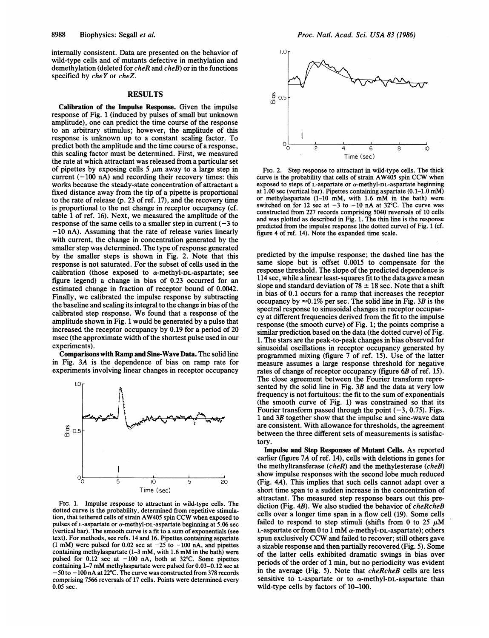internally consistent. Data are presented on the behavior of wild-type cells and of mutants defective in methylation and demethylation (deleted for cheR and cheB) or in the functions specified by cheY or cheZ.

## RESULTS

Calibration of the Impulse Response. Given the impulse response of Fig. <sup>1</sup> (induced by pulses of small but unknown amplitude), one can predict the time course of the response to an arbitrary stimulus; however, the amplitude of this response is unknown up to a constant scaling factor. To predict both the amplitude and the time course of a response, this scaling factor must be determined. First, we measured the rate at which attractant was released from a particular set of pipettes by exposing cells 5  $\mu$ m away to a large step in current  $(-100 \text{ nA})$  and recording their recovery times: this works because the steady-state concentration of attractant a fixed distance away from the tip of a pipette is proportional to the rate of release (p. 23 of ref. 17), and the recovery time is proportional to the net change in receptor occupancy (cf. table <sup>1</sup> of ref. 16). Next, we measured the amplitude of the response of the same cells to a smaller step in current  $(-3)$  to  $-10$  nA). Assuming that the rate of release varies linearly with current, the change in concentration generated by the smaller step was determined. The type of response generated by the smaller steps is shown in Fig. 2. Note that this response is not saturated. For the subset of cells used in the calibration (those exposed to  $\alpha$ -methyl-DL-aspartate; see figure legend) a change in bias of 0.23 occurred for an estimated change in fraction of receptor bound of 0.0042. Finally, we calibrated the impulse response by subtracting the baseline and scaling its integral to the change in bias of the calibrated step response. We found that <sup>a</sup> response of the amplitude shown in Fig. <sup>1</sup> would be generated by a pulse that increased the receptor occupancy by 0.19 for a period of 20 msec (the approximate width of the shortest pulse used in our experiments).

Comparisons with Ramp and Sine-Wave Data. The solid line in Fig. 3A is the dependence of bias on ramp rate for experiments involving linear changes in receptor occupancy



FIG. 1. Impulse response to attractant in wild-type cells. The dotted curve is the probability, determined from repetitive stimulation, that tethered cells of strain AW405 spin CCW when exposed to pulses of L-aspartate or  $\alpha$ -methyl-DL-aspartate beginning at 5.06 sec (vertical bar). The smooth curve is a fit to a sum of exponentials (see text). For methods, see refs. 14 and 16. Pipettes containing aspartate (1 mM) were pulsed for 0.02 sec at  $-25$  to  $-100$  nA, and pipettes containing methylaspartate (1-3 mM, with 1.6 mM in the bath) were pulsed for 0.12 sec at  $-100$  nA, both at 32°C. Some pipettes containing 1-7 mM methylaspartate were pulsed for 0.03-0.12 sec at  $-50$  to  $-100$  nA at 22°C. The curve was constructed from 378 records comprising 7566 reversals of 17 cells. Points were determined every 0.05 sec.



FIG. 2. Step response to attractant in wild-type cells. The thick curve is the probability that cells of strain AW405 spin CCW when exposed to steps of L-aspartate or  $\alpha$ -methyl-DL-aspartate beginning at 1.00 sec (vertical bar). Pipettes containing aspartate (0.1-1.0 mM) or methylaspartate (1-10 mM, with 1.6 mM in the bath) were switched on for 12 sec at  $-3$  to  $-10$  nA at 32°C. The curve was constructed from 227 records comprising 5040 reversals of 10 cells and was plotted as described in Fig. 1. The thin line is the response predicted from the impulse response (the dotted curve) of Fig. 1 (cf. figure 4 of ref. 14). Note the expanded time scale.

predicted by the impulse response; the dashed line has the same slope but is offset 0.0015 to compensate for the response threshold. The slope of the predicted dependence is 114 sec, while a linear least-squares fit to the data gave a mean slope and standard deviation of  $78 \pm 18$  sec. Note that a shift in bias of 0.1 occurs for a ramp that increases the receptor occupancy by  $\approx 0.1\%$  per sec. The solid line in Fig. 3B is the spectral response to sinusoidal changes in receptor occupancy at different frequencies derived from the fit to the impulse response (the smooth curve) of Fig. 1; the points comprise a similar prediction based on the data (the dotted curve) of Fig. 1. The stars are the peak-to-peak changes in bias observed for sinusoidal oscillations in receptor occupancy generated by programmed mixing (figure 7 of ref. 15). Use of the latter measure assumes a large response threshold for negative rates of change of receptor occupancy (figure 6B of ref. 15). The close agreement between the Fourier transform represented by the solid line in Fig.  $3B$  and the data at very low frequency is not fortuitous: the fit to the sum of exponentials (the smooth curve of Fig. 1) was constrained so that its Fourier transform passed through the point  $(-3, 0.75)$ . Figs. <sup>1</sup> and 3B together show that the impulse and sine-wave data are consistent. With allowance for thresholds, the agreement between the three different sets of measurements is satisfactory.

Impulse and Step Responses of Mutant Cells. As reported earlier (figure 7A of ref. 14), cells with deletions in genes for the methyltransferase  $(cheR)$  and the methylesterase  $(cheB)$ show impulse responses with the second lobe much reduced (Fig. 4A). This implies that such cells cannot adapt over a short time span to a sudden increase in the concentration of attractant. The measured step response bears out this prediction (Fig. 4B). We also studied the behavior of *cheRcheB* cells over a longer time span in a flow cell (19). Some cells failed to respond to step stimuli (shifts from 0 to 25  $\mu$ M L-aspartate or from 0 to 1 mM  $\alpha$ -methyl-DL-aspartate); others spun exclusively CCW and failed to recover; still others gave a sizable response and then partially recovered (Fig. 5). Some of the latter cells exhibited dramatic swings in bias over periods of the order of <sup>1</sup> min, but no periodicity was evident in the average (Fig. 5). Note that cheRcheB cells are less sensitive to L-aspartate or to  $\alpha$ -methyl-DL-aspartate than wild-type cells by factors of 10-100.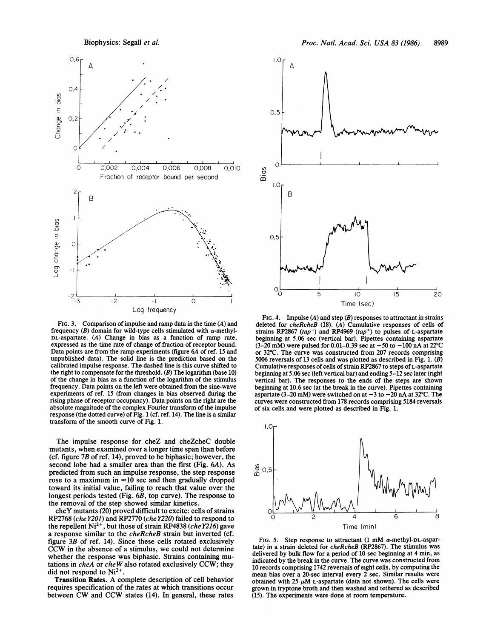Biophysics: Segall et al.



FIG. 3. Comparison of impulse and ramp data in the time (A) and frequency (B) domain for wild-type cells stimulated with  $\alpha$ -methyl-DL-aspartate. (A) Change in bias as a function of ramp rate, expressed as the time rate of change of fraction of receptor bound. Data points are from the ramp experiments (figure 6A of ref. 15 and unpublished data). The solid line is the prediction based on the calibrated impulse response. The dashed line is this curve shifted to the right to compensate for the threshold. (B) The logarithm (base 10) of the change in bias as a function of the logarithm of the stimulus frequency. Data points on the left were obtained from the sine-wave experiments of ref. 15 (from changes in bias observed during the rising phase of receptor occupancy). Data points on the right are the absolute magnitude of the complex Fourier transform of the impulse response (the dotted curve) of Fig. <sup>1</sup> (cf. ref. 14). The line is a similar transform of the smooth curve of Fig. 1.

The impulse response for cheZ and cheZcheC double mutants, when examined over a longer time span than before (cf. figure 7B of ref. 14), proved to be biphasic; however, the second lobe had a smaller area than the first (Fig. 6A). As predicted from such an impulse response, the step response rose to a maximum in  $\approx 10$  sec and then gradually dropped toward its initial value, failing to reach that value over the longest periods tested (Fig. 6B, top curve). The response to the removal of the step showed similar kinetics.

cheY mutants (20) proved difficult to excite: cells of strains RP2768 (che Y201) and RP2770 (che Y220) failed to respond to the repellent Ni<sup>2+</sup>, but those of strain RP4838 (che Y216) gave a response similar to the cheRcheB strain but inverted (cf. figure 3B of ref. 14). Since these cells rotated exclusively CCW in the absence of <sup>a</sup> stimulus, we could not determine whether the response was biphasic. Strains containing mutations in cheA or cheW also rotated exclusively CCW; they did not respond to  $Ni<sup>2+</sup>$ .

Transition Rates. A complete description of cell behavior requires specification of the rates at which transitions occur between CW and CCW states (14). In general, these rates



FIG. 4. Impulse  $(A)$  and step  $(B)$  responses to attractant in strains deleted for cheRcheB (18). (A) Cumulative responses of cells of strains RP2867 (tap<sup>-</sup>) and RP4969 (tap<sup>+</sup>) to pulses of L-aspartate beginning at 5.06 sec (vertical bar). Pipettes containing aspartate  $(3-20 \text{ mM})$  were pulsed for 0.01-0.39 sec at  $-50$  to  $-100 \text{ nA}$  at 22°C or 32°C. The curve was constructed from 207 records comprising 5006 reversals of 13 cells and was plotted as described in Fig. 1.  $(B)$ Cumulative responses of cells of strain RP2867 to steps of L-aspartate beginning at 5.06 sec (left vertical bar) and ending 5-12 sec later (right vertical bar). The responses to the ends of the steps are shown beginning at 10.6 sec (at the break in the curve). Pipettes containing aspartate (3-20 mM) were switched on at  $-3$  to  $-20$  nA at 32°C. The curves were constructed from 178 records comprising 5184 reversals of six cells and were plotted as described in Fig. 1.



FIG. 5. Step response to attractant  $(1 \text{ mM } \alpha$ -methyl-DL-aspartate) in a strain deleted for *cheRcheB* (RP2867). The stimulus was delivered by bulk flow for a period of 10 sec beginning at 4 min, as indicated by the break in the curve. The curve was constructed from 10 records comprising 1742 reversals of eight cells, by computing the mean bias over a 20-sec interval every 2 sec. Similar results were obtained with 25  $\mu$ M L-aspartate (data not shown). The cells were grown in tryptone broth and then washed and tethered as described (15). The experiments were done at room temperature.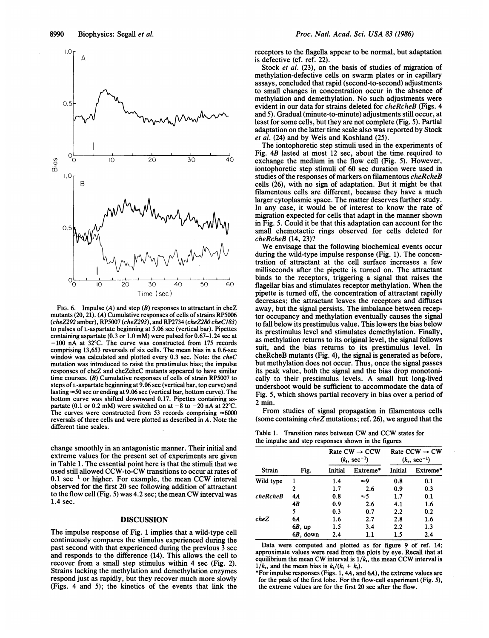

FIG. 6. Impulse  $(A)$  and step  $(B)$  responses to attractant in cheZ mutants (20, 21). (A) Cumulative responses of cells of strains RP5006 (cheZ292 amber), RP5007 (cheZ293), and RP2734 (cheZ280 cheC to pulses of L-aspartate beginning at 5.06 sec (vertical bar). Pip iettes containing aspartate (0.3 or  $1.0$  mM) were pulsed for 0.67-1.24 sec at  $-100$  nA at 32°C. The curve was constructed from 175 records comprising 13,653 reversals of six cells. The mean bias in a 0.6-sec window was calculated and plotted every  $0.3$  sec. Note: the  $cheC$ mutation was introduced to raise the prestimulus bias; the impulse responses of cheZ and cheZcheC mutants appeared to have similar time courses. (B) Cumulative responses of cells of strain RP5007 to steps of L-aspartate beginning at 9.06 sec (vertical bar, top curve) and lasting  $\approx$  50 sec or ending at 9.06 sec (vertical bar, bottom curve). The bottom curve was shifted downward 0.17. Pipettes containing partate (0.1 or 0.2 mM) were switched on at  $-8$  to  $-20$  nA at 22 °C. The curves were constructed from 53 records comprising  $\approx 6000$ reversals of three cells and were plotted as described in A. Not different time scales.

change smoothly in an antagonistic manner. Their initial land extreme values for the present set of experiments are given in Table 1. The essential point here is that the stimuli that we used still allowed CCW-to-CW transitions to occur at rat es of  $0.1 \text{ sec}^{-1}$  or higher. For example, the mean CCW interval observed for the first 20 sec following addition of attractant to the flow cell (Fig. 5) was 4.2 sec; the mean CW interval was 1.4 sec.

## DISCUSSION

The impulse response of Fig. <sup>1</sup> implies that a wild-type cell continuously compares the stimulus experienced during the past second with that experienced during the previous <sup>3</sup> <sup>3</sup> sec and responds to the difference (14). This allows the cell to recover from a small step stimulus within 4 sec (Fig. 2). Strains lacking the methylation and demethylation enzymes respond just as rapidly, but they recover much more slowly (Figs. 4 and 5); the kinetics of the events that link the

receptors to the flagella appear to be normal, but adaptation is defective (cf. ref. 22).

Stock et al. (23), on the basis of studies of migration of methylation-defective cells on swarm plates or in capillary assays, concluded that rapid (second-to-second) adjustments to small changes in concentration occur in the absence of methylation and demethylation. No such adjustments were evident in our data for strains deleted for cheRcheB (Figs. 4 and 5). Gradual (minute-to-minute) adjustments still occur, at least for some cells, but they are not complete (Fig. 5). Partial adaptation on the latter time scale also was reported by Stock et al. (24) and by Weis and Koshland (25).

The iontophoretic step stimuli used in the experiments of Fig. 4B lasted at most 12 sec, about the time required to 40 exchange the medium in the flow cell (Fig. 5). However, iontophoretic step stimuli of 60 sec duration were used in studies of the responses of markers on filamentous cheRcheB cells (26), with no sign of adaptation. But it might be that filamentous cells are different, because they have a much larger cytoplasmic space. The matter deserves further study. In any case, it would be of interest to know the rate of migration expected for cells that adapt in the manner shown in Fig. 5. Could it be that this adaptation can account for the small chemotactic rings observed for cells deleted for cheRcheB (14, 23)?

We envisage that the following biochemical events occur during the wild-type impulse response (Fig. 1). The concentration of attractant at the cell surface increases a few milliseconds after the pipette is turned on. The attractant  $\frac{1}{200}$  binds to the receptors, triggering a signal that raises the floodler bins and stimulates receptor methylotion. When the flagellar bias and stimulates receptor methylation. When the pipette is turned off, the concentration of attractant rapidly decreases; the attractant leaves the receptors and diffuses away, but the signal persists. The imbalance between receptor occupancy and methylation eventually causes the signal to fall below its prestimulus value. This lowers the bias below its prestimulus level and stimulates demethylation. Finally, as methylation returns to its original level, the signal follows suit, and the bias returns to its prestimulus level. In  $6\text{-sec}$  suit, and the bias returns to its prestimulus level. In  $cheC$  cheRcheB mutants (Fig. 4), the signal is generated as before, but methylation does not occur. Thus, once the signal passes its peak value, both the signal and the bias drop monotonically to their prestimulus levels. A small but long-lived undershoot would be sufficient to accommodate the data of The Fig. 5, which shows partial recovery in bias over a period of  $2^{20}$  as  $2 \text{ min.}$ 

From studies of signal propagation in filamentous cells (some containing  $cheZ$  mutations; ref. 26), we argued that the

Table 1. Transition rates between CW and CCW states for the impulse and step responses shown in the figures

| Strain    | Fig.      | Rate $CW \rightarrow CCW$<br>$(k_1, \text{ sec}^{-1})$ |          | Rate CCW $\rightarrow$ CW<br>$(k_r, \text{ sec}^{-1})$ |          |
|-----------|-----------|--------------------------------------------------------|----------|--------------------------------------------------------|----------|
|           |           | Initial                                                | Extreme* | Initial                                                | Extreme* |
| Wild type | ı         | 1.4                                                    | ≈9       | 0.8                                                    | 0.1      |
|           | 2         | 1.7                                                    | 2.6      | 0.9                                                    | 0.3      |
| cheRcheB  | 4A        | 0.8                                                    | ≈5       | 1.7                                                    | 0.1      |
|           | 4B        | 0.9                                                    | 2.6      | 4.1                                                    | 1.6      |
|           | 5         | 0.3                                                    | 0.7      | 2.2                                                    | 0.2      |
| cheZ      | 64        | 1.6                                                    | 2.7      | 2.8                                                    | 1.6      |
|           | $6B$ , up | 1.5                                                    | 3.4      | 2.2                                                    | 1.3      |
|           | 6B, down  | 2.4                                                    | 1.1      | 1.5                                                    | 2.4      |

Data were computed and plotted as for figure 9 of ref. 14; approximate values were read from the plots by eye. Recall that at equilibrium the mean CW interval is  $1/k<sub>t</sub>$ , the mean CCW interval is  $1/k_r$ , and the mean bias is  $k_t/(k_t + k_r)$ .

\*For impulse responses (Figs.  $1, 4A$ , and  $6A$ ), the extreme values are for the peak of the first lobe. For the flow-cell experiment (Fig. 5), the extreme values are for the first 20 sec after the flow.